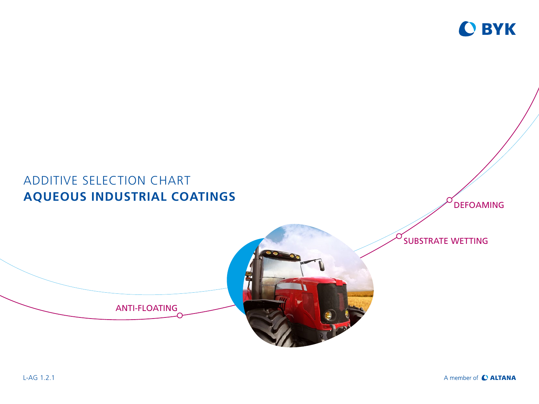

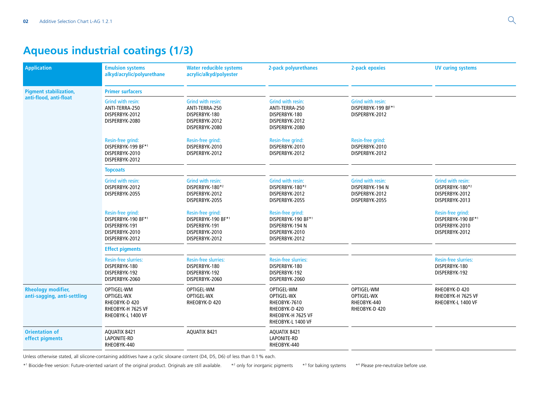# **Aqueous industrial coatings (1/3)**

| <b>Application</b>                                       | <b>Emulsion systems</b><br>alkyd/acrylic/polyurethane                                        | <b>Water reducible systems</b><br>acrylic/alkyd/polyester                                    | 2-pack polyurethanes                                                                                | 2-pack epoxies                                                           | <b>UV curing systems</b>                                                        |
|----------------------------------------------------------|----------------------------------------------------------------------------------------------|----------------------------------------------------------------------------------------------|-----------------------------------------------------------------------------------------------------|--------------------------------------------------------------------------|---------------------------------------------------------------------------------|
| <b>Pigment stabilization,</b><br>anti-flood, anti-float  | <b>Primer surfacers</b>                                                                      |                                                                                              |                                                                                                     |                                                                          |                                                                                 |
|                                                          | <b>Grind with resin:</b><br>ANTI-TERRA-250<br>DISPERBYK-2012<br>DISPERBYK-2080               | Grind with resin:<br>ANTI-TERRA-250<br>DISPERBYK-180<br>DISPERBYK-2012<br>DISPERBYK-2080     | Grind with resin:<br>ANTI-TERRA-250<br>DISPERBYK-180<br>DISPERBYK-2012<br>DISPERBYK-2080            | Grind with resin:<br>DISPERBYK-199 BF*1<br>DISPERBYK-2012                |                                                                                 |
|                                                          | Resin-free grind:<br>DISPERBYK-199 BF*1<br>DISPERBYK-2010<br>DISPERBYK-2012                  | Resin-free grind:<br>DISPERBYK-2010<br>DISPERBYK-2012                                        | Resin-free grind:<br>DISPERBYK-2010<br>DISPERBYK-2012                                               | Resin-free grind:<br>DISPERBYK-2010<br>DISPERBYK-2012                    |                                                                                 |
|                                                          | <b>Topcoats</b>                                                                              |                                                                                              |                                                                                                     |                                                                          |                                                                                 |
|                                                          | Grind with resin:<br>DISPERBYK-2012<br>DISPERBYK-2055                                        | Grind with resin:<br>DISPERBYK-180*2<br>DISPERBYK-2012<br>DISPERBYK-2055                     | Grind with resin:<br>DISPERBYK-180*2<br>DISPERBYK-2012<br>DISPERBYK-2055                            | Grind with resin:<br>DISPERBYK-194 N<br>DISPERBYK-2012<br>DISPERBYK-2055 | <b>Grind with resin:</b><br>DISPERBYK-180*2<br>DISPERBYK-2012<br>DISPERBYK-2013 |
|                                                          | Resin-free grind:<br>DISPERBYK-190 BF*1<br>DISPERBYK-191<br>DISPERBYK-2010<br>DISPERBYK-2012 | Resin-free grind:<br>DISPERBYK-190 BF*1<br>DISPERBYK-191<br>DISPERBYK-2010<br>DISPERBYK-2012 | Resin-free grind:<br>DISPERBYK-190 BF*1<br>DISPERBYK-194 N<br>DISPERBYK-2010<br>DISPERBYK-2012      |                                                                          | Resin-free grind:<br>DISPERBYK-190 BF*1<br>DISPERBYK-2010<br>DISPERBYK-2012     |
|                                                          | <b>Effect pigments</b>                                                                       |                                                                                              |                                                                                                     |                                                                          |                                                                                 |
|                                                          | <b>Resin-free slurries:</b><br>DISPERBYK-180<br>DISPERBYK-192<br>DISPERBYK-2060              | <b>Resin-free slurries:</b><br>DISPERBYK-180<br>DISPERBYK-192<br>DISPERBYK-2060              | <b>Resin-free slurries:</b><br>DISPERBYK-180<br>DISPERBYK-192<br>DISPERBYK-2060                     |                                                                          | <b>Resin-free slurries:</b><br>DISPERBYK-180<br>DISPERBYK-192                   |
| <b>Rheology modifier,</b><br>anti-sagging, anti-settling | OPTIGEL-WM<br>OPTIGEL-WX<br>RHEOBYK-D 420<br>RHEOBYK-H 7625 VF<br>RHEOBYK-L 1400 VF          | OPTIGEL-WM<br>OPTIGEL-WX<br>RHEOBYK-D 420                                                    | OPTIGEL-WM<br>OPTIGEL-WX<br>RHEOBYK-7610<br>RHEOBYK-D 420<br>RHEOBYK-H 7625 VF<br>RHEOBYK-L 1400 VF | OPTIGEL-WM<br>OPTIGEL-WX<br>RHEOBYK-440<br>RHEOBYK-D 420                 | RHEOBYK-D 420<br>RHEOBYK-H 7625 VF<br>RHEOBYK-L 1400 VF                         |
| <b>Orientation of</b><br>effect pigments                 | AQUATIX 8421<br>LAPONITE-RD<br>RHEOBYK-440                                                   | AQUATIX 8421                                                                                 | AQUATIX 8421<br>LAPONITE-RD<br>RHEOBYK-440                                                          |                                                                          |                                                                                 |

Unless otherwise stated, all silicone-containing additives have a cyclic siloxane content (D4, D5, D6) of less than 0.1% each.

 $*1$  Biocide-free version: Future-oriented variant of the original product. Originals are still available.  $*2$  only for inorganic pigments  $*3$ for baking systems \*4 Please pre-neutralize before use.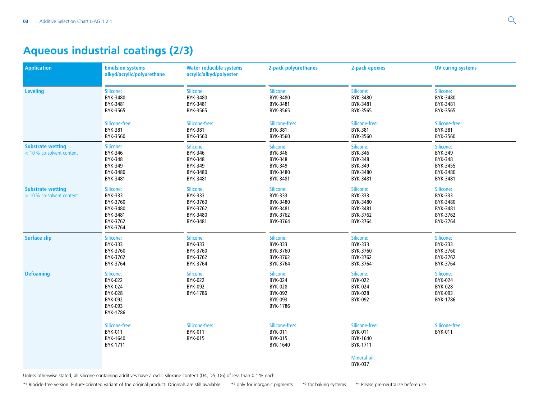# **Aqueous industrial coatings (2/3)**

| <b>Application</b>                                    | <b>Emulsion systems</b><br>alkyd/acrylic/polyurethane                               |                                                                      | <b>Water reducible systems</b><br>acrylic/alkyd/polyester                 |                                                                           | 2-pack polyurethanes                                                       | 2-pack epoxies | <b>UV curing systems</b> |  |
|-------------------------------------------------------|-------------------------------------------------------------------------------------|----------------------------------------------------------------------|---------------------------------------------------------------------------|---------------------------------------------------------------------------|----------------------------------------------------------------------------|----------------|--------------------------|--|
| <b>Leveling</b>                                       | Silicone:<br>BYK-3480<br>BYK-3481<br>BYK-3565                                       | Silicone:<br>BYK-3480<br>BYK-3481<br>BYK-3565                        | Silicone:<br>BYK-3480<br>BYK-3481<br>BYK-3565                             | Silicone:<br>BYK-3480<br>BYK-3481<br>BYK-3565                             | Silicone:<br>BYK-3480<br>BYK-3481<br>BYK-3565                              |                |                          |  |
|                                                       | Silicone-free:<br><b>BYK-381</b><br>BYK-3560                                        | Silicone-free:<br>BYK-381<br>BYK-3560                                | Silicone-free:<br><b>BYK-381</b><br>BYK-3560                              | Silicone-free:<br><b>BYK-381</b><br>BYK-3560                              | Silicone-free:<br><b>BYK-381</b><br>BYK-3560                               |                |                          |  |
| <b>Substrate wetting</b><br>< 10 % co-solvent content | Silicone:<br>BYK-346<br><b>BYK-348</b><br>BYK-349<br>BYK-3480<br>BYK-3481           | Silicone:<br>BYK-346<br>BYK-348<br>BYK-349<br>BYK-3480<br>BYK-3481   | Silicone:<br>BYK-346<br><b>BYK-348</b><br>BYK-349<br>BYK-3480<br>BYK-3481 | Silicone:<br>BYK-346<br><b>BYK-348</b><br>BYK-349<br>BYK-3480<br>BYK-3481 | Silicone:<br>BYK-349<br><b>BYK-348</b><br>BYK-3455<br>BYK-3480<br>BYK-3481 |                |                          |  |
| <b>Substrate wetting</b><br>> 10 % co-solvent content | Silicone:<br>BYK-333<br>BYK-3760<br>BYK-3480<br>BYK-3481<br>BYK-3762<br>BYK-3764    | Silicone:<br>BYK-333<br>BYK-3760<br>BYK-3762<br>BYK-3480<br>BYK-3481 | Silicone:<br>BYK-333<br>BYK-3480<br>BYK-3481<br>BYK-3762<br>BYK-3764      | Silicone:<br>BYK-333<br>BYK-3480<br>BYK-3481<br>BYK-3762<br>BYK-3764      | Silicone:<br>BYK-333<br>BYK-3480<br>BYK-3481<br>BYK-3762<br>BYK-3764       |                |                          |  |
| <b>Surface slip</b>                                   | Silicone:<br>BYK-333<br>BYK-3760<br>BYK-3762<br>BYK-3764                            | Silicone:<br>BYK-333<br>BYK-3760<br>BYK-3762<br>BYK-3764             | Silicone:<br>BYK-333<br>BYK-3760<br>BYK-3762<br>BYK-3764                  | Silicone:<br>BYK-333<br>BYK-3760<br>BYK-3762<br>BYK-3764                  | Silicone:<br>BYK-333<br>BYK-3760<br>BYK-3762<br>BYK-3764                   |                |                          |  |
| <b>Defoaming</b>                                      | Silicone:<br>BYK-022<br><b>BYK-024</b><br>BYK-028<br>BYK-092<br>BYK-093<br>BYK-1786 | Silicone:<br>BYK-022<br>BYK-092<br>BYK-1786                          | Silicone:<br>BYK-024<br>BYK-028<br>BYK-092<br>BYK-093<br>BYK-1786         | Silicone:<br>BYK-022<br><b>BYK-024</b><br>BYK-028<br>BYK-092              | Silicone:<br>BYK-024<br><b>BYK-028</b><br>BYK-093<br>BYK-1786              |                |                          |  |
|                                                       | Silicone-free:<br>BYK-011<br>BYK-1640<br>BYK-1711                                   | Silicone-free:<br>BYK-011<br>BYK-015                                 | Silicone-free:<br>BYK-011<br>BYK-015<br>BYK-1640                          | Silicone-free:<br>BYK-011<br>BYK-1640<br>BYK-1711                         | Silicone-free:<br>BYK-011                                                  |                |                          |  |
|                                                       |                                                                                     |                                                                      |                                                                           | <b>Mineral oil:</b><br>BYK-037                                            |                                                                            |                |                          |  |

Unless otherwise stated, all silicone-containing additives have a cyclic siloxane content (D4, D5, D6) of less than 0.1% each.

\*1 Biocide-free version: Future-oriented variant of the original product. Originals are still available. \*2 only for inorganic pigments \*3 for baking systems \*4 Please pre-neutralize before use.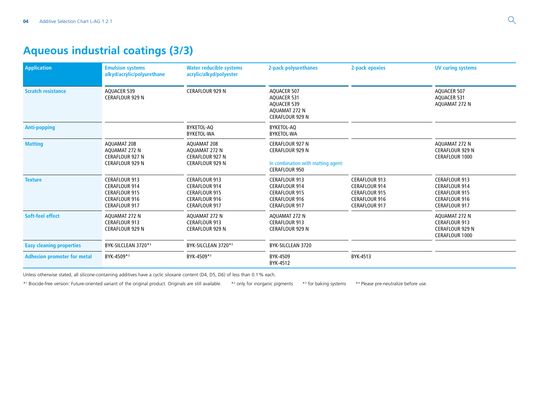# **Aqueous industrial coatings (3/3)**

| <b>Application</b>                 | <b>Emulsion systems</b><br>alkyd/acrylic/polyurethane                                                                | <b>Water reducible systems</b><br>acrylic/alkyd/polyester                                                            | 2-pack polyurethanes                                                                                                 | 2-pack epoxies                                                                                                       | <b>UV curing systems</b>                                                                                             |
|------------------------------------|----------------------------------------------------------------------------------------------------------------------|----------------------------------------------------------------------------------------------------------------------|----------------------------------------------------------------------------------------------------------------------|----------------------------------------------------------------------------------------------------------------------|----------------------------------------------------------------------------------------------------------------------|
| <b>Scratch resistance</b>          | <b>AOUACER 539</b><br><b>CERAFLOUR 929 N</b>                                                                         | <b>CERAFLOUR 929 N</b>                                                                                               | <b>AQUACER 507</b><br><b>AQUACER 531</b><br><b>AQUACER 539</b><br>AQUAMAT 272 N<br><b>CERAFLOUR 929 N</b>            |                                                                                                                      | <b>AOUACER 507</b><br><b>AOUACER 531</b><br>AQUAMAT 272 N                                                            |
| <b>Anti-popping</b>                |                                                                                                                      | BYKETOL-AQ<br>BYKETOL-WA                                                                                             | BYKETOL-AQ<br>BYKETOL-WA                                                                                             |                                                                                                                      |                                                                                                                      |
| <b>Matting</b>                     | AQUAMAT 208<br>AQUAMAT 272 N<br><b>CERAFLOUR 927 N</b><br><b>CERAFLOUR 929 N</b>                                     | AQUAMAT 208<br>AQUAMAT 272 N<br><b>CERAFLOUR 927 N</b><br><b>CERAFLOUR 929 N</b>                                     | <b>CERAFLOUR 927 N</b><br><b>CERAFLOUR 929 N</b><br>In combination with matting agent:<br><b>CERAFLOUR 950</b>       |                                                                                                                      | AQUAMAT 272 N<br><b>CERAFLOUR 929 N</b><br><b>CERAFLOUR 1000</b>                                                     |
| <b>Texture</b>                     | <b>CERAFLOUR 913</b><br><b>CERAFLOUR 914</b><br><b>CERAFLOUR 915</b><br><b>CERAFLOUR 916</b><br><b>CERAFLOUR 917</b> | <b>CERAFLOUR 913</b><br><b>CERAFLOUR 914</b><br><b>CERAFLOUR 915</b><br><b>CERAFLOUR 916</b><br><b>CERAFLOUR 917</b> | <b>CERAFLOUR 913</b><br><b>CERAFLOUR 914</b><br><b>CERAFLOUR 915</b><br><b>CERAFLOUR 916</b><br><b>CERAFLOUR 917</b> | <b>CERAFLOUR 913</b><br><b>CERAFLOUR 914</b><br><b>CERAFLOUR 915</b><br><b>CERAFLOUR 916</b><br><b>CERAFLOUR 917</b> | <b>CERAFLOUR 913</b><br><b>CERAFLOUR 914</b><br><b>CERAFLOUR 915</b><br><b>CERAFLOUR 916</b><br><b>CERAFLOUR 917</b> |
| Soft-feel effect                   | AQUAMAT 272 N<br><b>CERAFLOUR 913</b><br><b>CERAFLOUR 929 N</b>                                                      | AQUAMAT 272 N<br><b>CERAFLOUR 913</b><br><b>CERAFLOUR 929 N</b>                                                      | AQUAMAT 272 N<br><b>CERAFLOUR 913</b><br><b>CERAFLOUR 929 N</b>                                                      |                                                                                                                      | AQUAMAT 272 N<br><b>CERAFLOUR 913</b><br><b>CERAFLOUR 929 N</b><br>CERAFLOUR 1000                                    |
| <b>Easy cleaning properties</b>    | BYK-SILCLEAN 3720*3                                                                                                  | BYK-SILCLEAN 3720*3                                                                                                  | BYK-SILCLEAN 3720                                                                                                    |                                                                                                                      |                                                                                                                      |
| <b>Adhesion promoter for metal</b> | BYK-4509*3                                                                                                           | BYK-4509*3                                                                                                           | BYK-4509<br>BYK-4512                                                                                                 | BYK-4513                                                                                                             |                                                                                                                      |

Unless otherwise stated, all silicone-containing additives have a cyclic siloxane content (D4, D5, D6) of less than 0.1% each.

\*1 Biocide-free version: Future-oriented variant of the original product. Originals are still available. \*2 only for inorganic pigments \*3  $*$ <sup>3</sup> for baking systems \*4 Please pre-neutralize before use.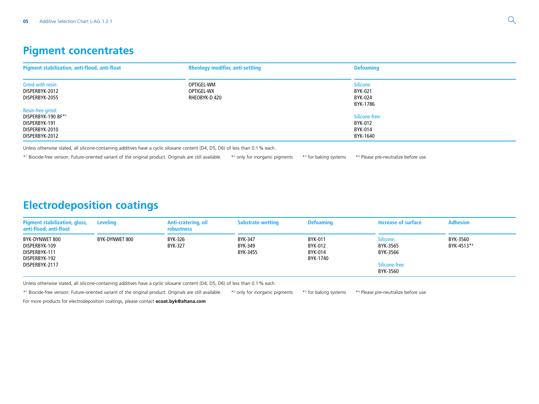## **Pigment concentrates**

| Pigment stabilization, anti-flood, anti-float         | <b>Rheology modifier, anti-settling</b>   | <b>Defoaming</b>                |
|-------------------------------------------------------|-------------------------------------------|---------------------------------|
| Grind with resin:<br>DISPERBYK-2012<br>DISPERBYK-2055 | OPTIGEL-WM<br>OPTIGEL-WX<br>RHEOBYK-D 420 | Silicone:<br>BYK-021<br>BYK-024 |
| Resin-free grind:<br>DISPERBYK-190 BF*1               |                                           | BYK-1786<br>Silicone-free:      |
| DISPERBYK-191<br>DISPERBYK-2010<br>DISPERBYK-2012     |                                           | BYK-012<br>BYK-014<br>BYK-1640  |

Unless otherwise stated, all silicone-containing additives have a cyclic siloxane content (D4, D5, D6) of less than 0.1% each.

\*1 Biocide-free version: Future-oriented variant of the original product. Originals are still available. \*2  $*<sup>2</sup>$  only for inorganic pigments  $*<sup>3</sup>$  for baking systems \*<sup>4</sup> Please pre-neutralize before use.

## **Electrodeposition coatings**

| <b>Pigment stabilization, gloss,</b><br>anti-flood, anti-float                      | Leveling       | Anti-cratering, oil<br>robustness | <b>Substrate wetting</b>       | <b>Defoaming</b>                                 | Increase of surface                                             | <b>Adhesion</b>        |
|-------------------------------------------------------------------------------------|----------------|-----------------------------------|--------------------------------|--------------------------------------------------|-----------------------------------------------------------------|------------------------|
| BYK-DYNWET 800<br>DISPERBYK-109<br>DISPERBYK-111<br>DISPERBYK-192<br>DISPERBYK-2117 | BYK-DYNWET 800 | BYK-326<br>BYK-327                | BYK-347<br>BYK-349<br>BYK-3455 | <b>BYK-011</b><br>BYK-012<br>BYK-014<br>BYK-1740 | Silicone:<br>BYK-3565<br>BYK-3566<br>Silicone-free:<br>BYK-3560 | BYK-3560<br>BYK-4513*4 |

Unless otherwise stated, all silicone-containing additives have a cyclic siloxane content (D4, D5, D6) of less than 0.1% each.

\*1 Biocide-free version: Future-oriented variant of the original product. Originals are still available. \*2 \*<sup>2</sup> only for inorganic pigments  $*3$  for baking systems \*4 Please pre-neutralize before use.

For more products for electrodeposition coatings, please contact **[ecoat.byk@altana.com](mailto:ecoat.byk%40altana.com?subject=)**